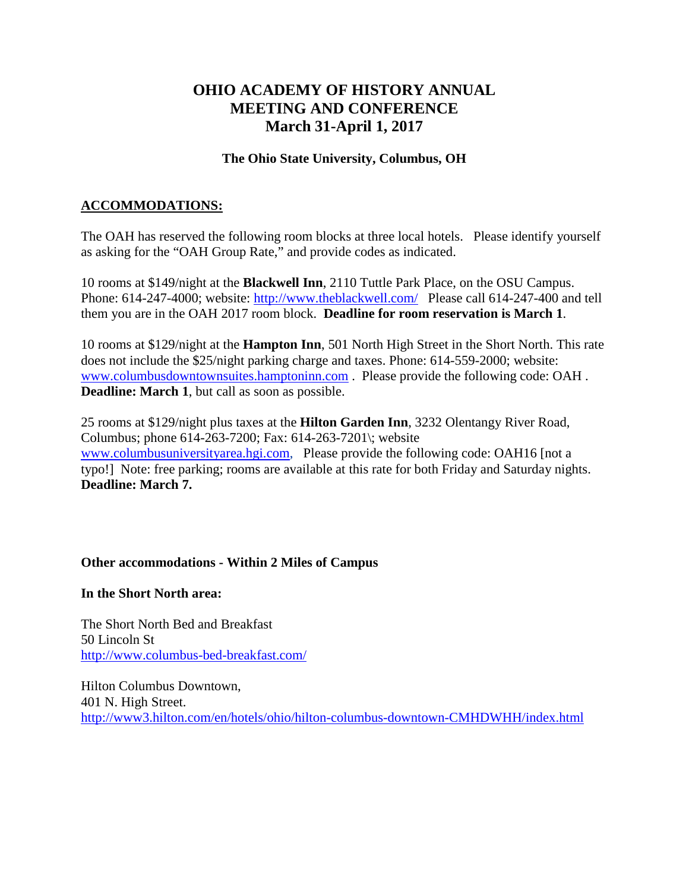# **OHIO ACADEMY OF HISTORY ANNUAL MEETING AND CONFERENCE March 31-April 1, 2017**

### **The Ohio State University, Columbus, OH**

### **ACCOMMODATIONS:**

The OAH has reserved the following room blocks at three local hotels. Please identify yourself as asking for the "OAH Group Rate," and provide codes as indicated.

10 rooms at \$149/night at the **Blackwell Inn**, 2110 Tuttle Park Place, on the OSU Campus. Phone: 614-247-4000; website:<http://www.theblackwell.com/>Please call 614-247-400 and tell them you are in the OAH 2017 room block. **Deadline for room reservation is March 1**.

10 rooms at \$129/night at the **Hampton Inn**, 501 North High Street in the Short North. This rate does not include the \$25/night parking charge and taxes. Phone: 614-559-2000; website: [www.columbusdowntownsuites.hamptoninn.com](http://www.columbusdowntownsuites.hamptoninn.com/) . Please provide the following code: OAH . **Deadline: March 1**, but call as soon as possible.

25 rooms at \$129/night plus taxes at the **Hilton Garden Inn**, 3232 Olentangy River Road, Columbus; phone 614-263-7200; Fax: 614-263-7201\; website [www.columbusuniversityarea.hgi.com,](http://www.columbusuniversityarea.hgi.com/) Please provide the following code: OAH16 [not a typo!] Note: free parking; rooms are available at this rate for both Friday and Saturday nights. **Deadline: March 7.**

## **Other accommodations - Within 2 Miles of Campus**

**In the Short North area:**

The Short North Bed and Breakfast 50 Lincoln St <http://www.columbus-bed-breakfast.com/>

Hilton Columbus Downtown, 401 N. High Street. <http://www3.hilton.com/en/hotels/ohio/hilton-columbus-downtown-CMHDWHH/index.html>